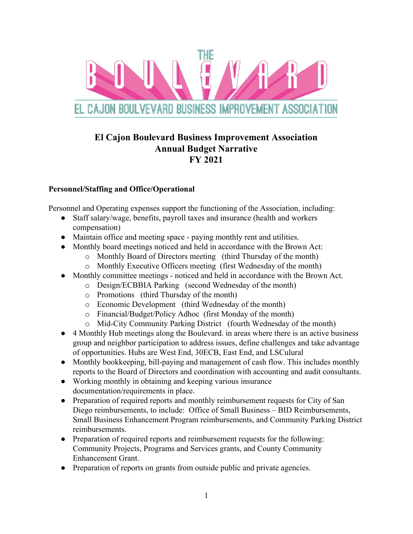

# **El Cajon Boulevard Business Improvement Association Annual Budget Narrative FY 2021**

#### **Personnel/Staffing and Office/Operational**

Personnel and Operating expenses support the functioning of the Association, including:

- Staff salary/wage, benefits, payroll taxes and insurance (health and workers compensation)
- Maintain office and meeting space paying monthly rent and utilities.
- Monthly board meetings noticed and held in accordance with the Brown Act:
	- o Monthly Board of Directors meeting (third Thursday of the month)
	- o Monthly Executive Officers meeting (first Wednesday of the month)
- Monthly committee meetings noticed and held in accordance with the Brown Act.
	- o Design/ECBBIA Parking (second Wednesday of the month)
	- o Promotions (third Thursday of the month)
	- o Economic Development (third Wednesday of the month)
	- o Financial/Budget/Policy Adhoc (first Monday of the month)
	- o Mid-City Community Parking District (fourth Wednesday of the month)
- 4 Monthly Hub meetings along the Boulevard. in areas where there is an active business group and neighbor participation to address issues, define challenges and take advantage of opportunities. Hubs are West End, 30ECB, East End, and LSCulural
- Monthly bookkeeping, bill-paying and management of cash flow. This includes monthly reports to the Board of Directors and coordination with accounting and audit consultants.
- Working monthly in obtaining and keeping various insurance documentation/requirements in place.
- Preparation of required reports and monthly reimbursement requests for City of San Diego reimbursements, to include: Office of Small Business – BID Reimbursements, Small Business Enhancement Program reimbursements, and Community Parking District reimbursements.
- Preparation of required reports and reimbursement requests for the following: Community Projects, Programs and Services grants, and County Community Enhancement Grant.
- Preparation of reports on grants from outside public and private agencies.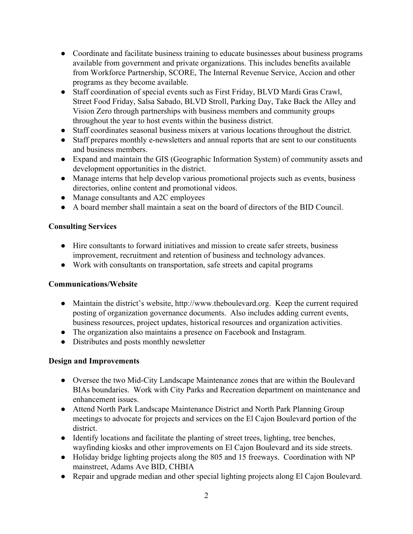- Coordinate and facilitate business training to educate businesses about business programs available from government and private organizations. This includes benefits available from Workforce Partnership, SCORE, The Internal Revenue Service, Accion and other programs as they become available.
- Staff coordination of special events such as First Friday, BLVD Mardi Gras Crawl, Street Food Friday, Salsa Sabado, BLVD Stroll, Parking Day, Take Back the Alley and Vision Zero through partnerships with business members and community groups throughout the year to host events within the business district.
- Staff coordinates seasonal business mixers at various locations throughout the district.
- Staff prepares monthly e-newsletters and annual reports that are sent to our constituents and business members.
- Expand and maintain the GIS (Geographic Information System) of community assets and development opportunities in the district.
- *●* Manage interns that help develop various promotional projects such as events, business directories, online content and promotional videos.
- *●* Manage consultants and A2C employees
- **●** A board member shall maintain a seat on the board of directors of the BID Council.

#### **Consulting Services**

- Hire consultants to forward initiatives and mission to create safer streets, business improvement, recruitment and retention of business and technology advances.
- Work with consultants on transportation, safe streets and capital programs

### **Communications/Website**

- Maintain the district's website, http://www.theboulevard.org. Keep the current required posting of organization governance documents. Also includes adding current events, business resources, project updates, historical resources and organization activities.
- The organization also maintains a presence on Facebook and Instagram.
- Distributes and posts monthly newsletter

### **Design and Improvements**

- Oversee the two Mid-City Landscape Maintenance zones that are within the Boulevard BIAs boundaries. Work with City Parks and Recreation department on maintenance and enhancement issues.
- Attend North Park Landscape Maintenance District and North Park Planning Group meetings to advocate for projects and services on the El Cajon Boulevard portion of the district.
- Identify locations and facilitate the planting of street trees, lighting, tree benches, wayfinding kiosks and other improvements on El Cajon Boulevard and its side streets.
- Holiday bridge lighting projects along the 805 and 15 freeways. Coordination with NP mainstreet, Adams Ave BID, CHBIA
- Repair and upgrade median and other special lighting projects along El Cajon Boulevard.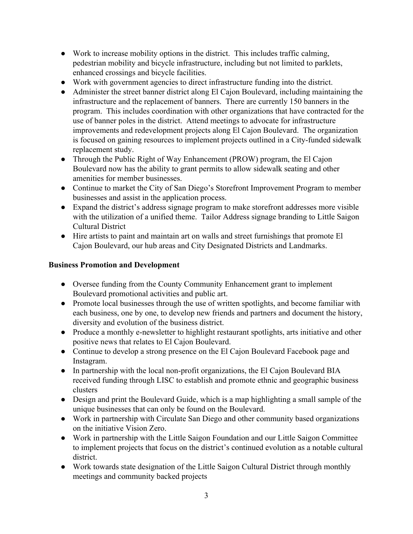- Work to increase mobility options in the district. This includes traffic calming, pedestrian mobility and bicycle infrastructure, including but not limited to parklets, enhanced crossings and bicycle facilities.
- Work with government agencies to direct infrastructure funding into the district.
- Administer the street banner district along El Cajon Boulevard, including maintaining the infrastructure and the replacement of banners. There are currently 150 banners in the program. This includes coordination with other organizations that have contracted for the use of banner poles in the district. Attend meetings to advocate for infrastructure improvements and redevelopment projects along El Cajon Boulevard. The organization is focused on gaining resources to implement projects outlined in a City-funded sidewalk replacement study.
- Through the Public Right of Way Enhancement (PROW) program, the El Cajon Boulevard now has the ability to grant permits to allow sidewalk seating and other amenities for member businesses.
- Continue to market the City of San Diego's Storefront Improvement Program to member businesses and assist in the application process.
- Expand the district's address signage program to make storefront addresses more visible with the utilization of a unified theme. Tailor Address signage branding to Little Saigon Cultural District
- Hire artists to paint and maintain art on walls and street furnishings that promote El Cajon Boulevard, our hub areas and City Designated Districts and Landmarks.

### **Business Promotion and Development**

- Oversee funding from the County Community Enhancement grant to implement Boulevard promotional activities and public art.
- Promote local businesses through the use of written spotlights, and become familiar with each business, one by one, to develop new friends and partners and document the history, diversity and evolution of the business district.
- Produce a monthly e-newsletter to highlight restaurant spotlights, arts initiative and other positive news that relates to El Cajon Boulevard.
- **●** Continue to develop a strong presence on the El Cajon Boulevard Facebook page and Instagram.
- In partnership with the local non-profit organizations, the El Cajon Boulevard BIA received funding through LISC to establish and promote ethnic and geographic business clusters
- Design and print the Boulevard Guide, which is a map highlighting a small sample of the unique businesses that can only be found on the Boulevard.
- Work in partnership with Circulate San Diego and other community based organizations on the initiative Vision Zero.
- Work in partnership with the Little Saigon Foundation and our Little Saigon Committee to implement projects that focus on the district's continued evolution as a notable cultural district.
- Work towards state designation of the Little Saigon Cultural District through monthly meetings and community backed projects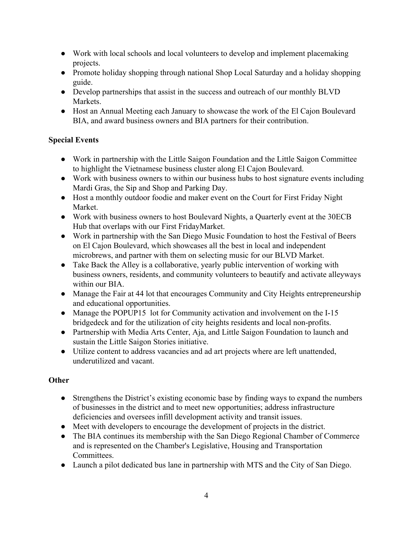- Work with local schools and local volunteers to develop and implement placemaking projects.
- Promote holiday shopping through national Shop Local Saturday and a holiday shopping guide.
- Develop partnerships that assist in the success and outreach of our monthly BLVD **Markets**
- Host an Annual Meeting each January to showcase the work of the El Cajon Boulevard BIA, and award business owners and BIA partners for their contribution.

## **Special Events**

- Work in partnership with the Little Saigon Foundation and the Little Saigon Committee to highlight the Vietnamese business cluster along El Cajon Boulevard.
- Work with business owners to within our business hubs to host signature events including Mardi Gras, the Sip and Shop and Parking Day.
- Host a monthly outdoor foodie and maker event on the Court for First Friday Night Market.
- Work with business owners to host Boulevard Nights, a Quarterly event at the 30ECB Hub that overlaps with our First FridayMarket.
- Work in partnership with the San Diego Music Foundation to host the Festival of Beers on El Cajon Boulevard, which showcases all the best in local and independent microbrews, and partner with them on selecting music for our BLVD Market.
- Take Back the Alley is a collaborative, yearly public intervention of working with business owners, residents, and community volunteers to beautify and activate alleyways within our BIA.
- Manage the Fair at 44 lot that encourages Community and City Heights entrepreneurship and educational opportunities.
- Manage the POPUP15 lot for Community activation and involvement on the I-15 bridgedeck and for the utilization of city heights residents and local non-profits.
- Partnership with Media Arts Center, Aja, and Little Saigon Foundation to launch and sustain the Little Saigon Stories initiative.
- Utilize content to address vacancies and ad art projects where are left unattended, underutilized and vacant.

## **Other**

- **●** Strengthens the District's existing economic base by finding ways to expand the numbers of businesses in the district and to meet new opportunities; address infrastructure deficiencies and oversees infill development activity and transit issues.
- **●** Meet with developers to encourage the development of projects in the district.
- The BIA continues its membership with the San Diego Regional Chamber of Commerce and is represented on the Chamber's Legislative, Housing and Transportation Committees.
- Launch a pilot dedicated bus lane in partnership with MTS and the City of San Diego.